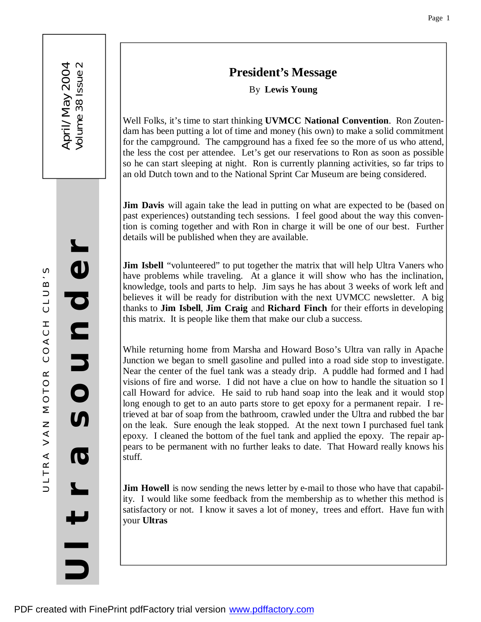# **President's Message**

By **Lewis Young**

Well Folks, it's time to start thinking **UVMCC National Convention**. Ron Zoutendam has been putting a lot of time and money (his own) to make a solid commitment for the campground. The campground has a fixed fee so the more of us who attend, the less the cost per attendee. Let's get our reservations to Ron as soon as possible so he can start sleeping at night. Ron is currently planning activities, so far trips to an old Dutch town and to the National Sprint Car Museum are being considered.

**Jim Davis** will again take the lead in putting on what are expected to be (based on past experiences) outstanding tech sessions. I feel good about the way this convention is coming together and with Ron in charge it will be one of our best. Further details will be published when they are available.

**Jim Isbell** "volunteered" to put together the matrix that will help Ultra Vaners who have problems while traveling. At a glance it will show who has the inclination, knowledge, tools and parts to help. Jim says he has about 3 weeks of work left and believes it will be ready for distribution with the next UVMCC newsletter. A big thanks to **Jim Isbell**, **Jim Craig** and **Richard Finch** for their efforts in developing this matrix. It is people like them that make our club a success.

While returning home from Marsha and Howard Boso's Ultra van rally in Apache Junction we began to smell gasoline and pulled into a road side stop to investigate. Near the center of the fuel tank was a steady drip. A puddle had formed and I had visions of fire and worse. I did not have a clue on how to handle the situation so I call Howard for advice. He said to rub hand soap into the leak and it would stop long enough to get to an auto parts store to get epoxy for a permanent repair. I retrieved at bar of soap from the bathroom, crawled under the Ultra and rubbed the bar on the leak. Sure enough the leak stopped. At the next town I purchased fuel tank epoxy. I cleaned the bottom of the fuel tank and applied the epoxy. The repair appears to be permanent with no further leaks to date. That Howard really knows his stuff.

**Jim Howell** is now sending the news letter by e-mail to those who have that capability. I would like some feedback from the membership as to whether this method is satisfactory or not. I know it saves a lot of money, trees and effort. Have fun with your **Ultras**

 $\supset$ 

**U**

**l**

**₩** 

**r**

**a**

**S** 

**o**

**u**

**n**

**d** 

**e**

**r**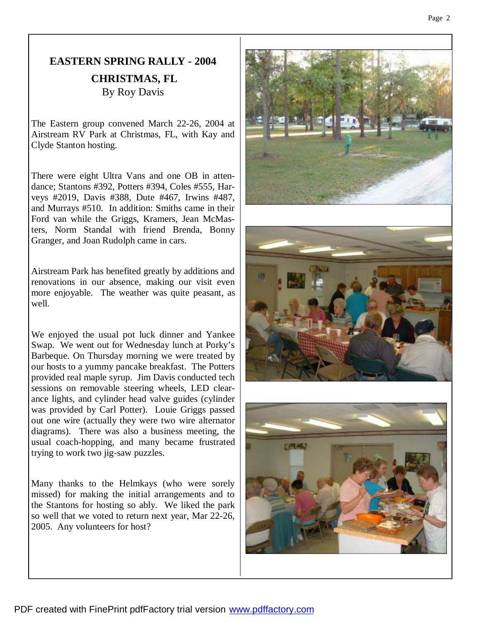# **EASTERN SPRING RALLY - 2004 CHRISTMAS, FL** By Roy Davis

The Eastern group convened March 22-26, 2004 at Airstream RV Park at Christmas, FL, with Kay and Clyde Stanton hosting.

There were eight Ultra Vans and one OB in attendance; Stantons #392, Potters #394, Coles #555, Harveys #2019, Davis #388, Dute #467, Irwins #487, and Murrays #510. In addition: Smiths came in their Ford van while the Griggs, Kramers, Jean McMasters, Norm Standal with friend Brenda, Bonny Granger, and Joan Rudolph came in cars.

Airstream Park has benefited greatly by additions and renovations in our absence, making our visit even more enjoyable. The weather was quite peasant, as well.

We enjoyed the usual pot luck dinner and Yankee Swap. We went out for Wednesday lunch at Porky's Barbeque. On Thursday morning we were treated by our hosts to a yummy pancake breakfast. The Potters provided real maple syrup. Jim Davis conducted tech sessions on removable steering wheels, LED clearance lights, and cylinder head valve guides (cylinder was provided by Carl Potter). Louie Griggs passed out one wire (actually they were two wire alternator diagrams). There was also a business meeting, the usual coach-hopping, and many became frustrated trying to work two jig-saw puzzles.

Many thanks to the Helmkays (who were sorely missed) for making the initial arrangements and to the Stantons for hosting so ably. We liked the park so well that we voted to return next year, Mar 22-26, 2005. Any volunteers for host?

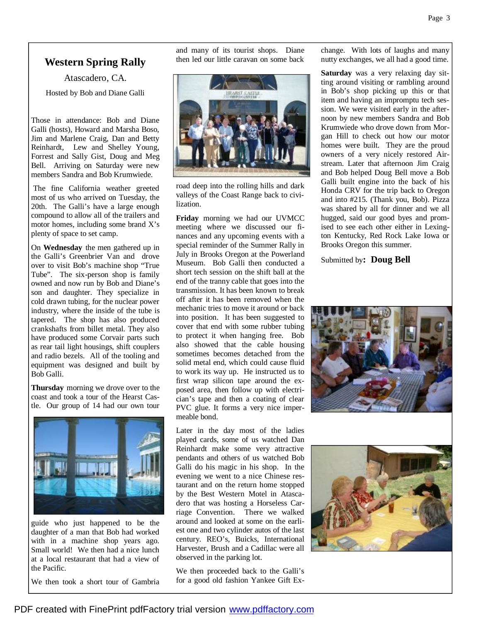# **Western Spring Rally**

Atascadero, CA. Hosted by Bob and Diane Galli

Those in attendance: Bob and Diane Galli (hosts), Howard and Marsha Boso, Jim and Marlene Craig, Dan and Betty Reinhardt, Lew and Shelley Young, Forrest and Sally Gist, Doug and Meg Bell. Arriving on Saturday were new members Sandra and Bob Krumwiede.

The fine California weather greeted most of us who arrived on Tuesday, the 20th. The Galli's have a large enough compound to allow all of the trailers and motor homes, including some brand X's plenty of space to set camp.

On **Wednesday** the men gathered up in the Galli's Greenbrier Van and drove over to visit Bob's machine shop "True Tube". The six-person shop is family owned and now run by Bob and Diane's son and daughter. They specialize in cold drawn tubing, for the nuclear power industry, where the inside of the tube is tapered. The shop has also produced crankshafts from billet metal. They also have produced some Corvair parts such as rear tail light housings, shift couplers and radio bezels. All of the tooling and equipment was designed and built by Bob Galli.

**Thursday** morning we drove over to the coast and took a tour of the Hearst Castle. Our group of 14 had our own tour



guide who just happened to be the daughter of a man that Bob had worked with in a machine shop years ago. Small world! We then had a nice lunch at a local restaurant that had a view of the Pacific.

We then took a short tour of Gambria

and many of its tourist shops. Diane then led our little caravan on some back



road deep into the rolling hills and dark valleys of the Coast Range back to civilization.

**Friday** morning we had our UVMCC meeting where we discussed our finances and any upcoming events with a special reminder of the Summer Rally in July in Brooks Oregon at the Powerland Museum. Bob Galli then conducted a short tech session on the shift ball at the end of the tranny cable that goes into the transmission. It has been known to break off after it has been removed when the mechanic tries to move it around or back into position. It has been suggested to cover that end with some rubber tubing to protect it when hanging free. Bob also showed that the cable housing sometimes becomes detached from the solid metal end, which could cause fluid to work its way up. He instructed us to first wrap silicon tape around the exposed area, then follow up with electrician's tape and then a coating of clear PVC glue. It forms a very nice impermeable bond.

Later in the day most of the ladies played cards, some of us watched Dan Reinhardt make some very attractive pendants and others of us watched Bob Galli do his magic in his shop. In the evening we went to a nice Chinese restaurant and on the return home stopped by the Best Western Motel in Atascadero that was hosting a Horseless Carriage Convention. There we walked around and looked at some on the earliest one and two cylinder autos of the last century. REO's, Buicks, International Harvester, Brush and a Cadillac were all observed in the parking lot.

We then proceeded back to the Galli's for a good old fashion Yankee Gift Exchange. With lots of laughs and many nutty exchanges, we all had a good time.

**Saturday** was a very relaxing day sitting around visiting or rambling around in Bob's shop picking up this or that item and having an impromptu tech session. We were visited early in the afternoon by new members Sandra and Bob Krumwiede who drove down from Morgan Hill to check out how our motor homes were built. They are the proud owners of a very nicely restored Airstream. Later that afternoon Jim Craig and Bob helped Doug Bell move a Bob Galli built engine into the back of his Honda CRV for the trip back to Oregon and into #215. (Thank you, Bob). Pizza was shared by all for dinner and we all hugged, said our good byes and promised to see each other either in Lexington Kentucky, Red Rock Lake Iowa or Brooks Oregon this summer.

Submitted by**: Doug Bell**



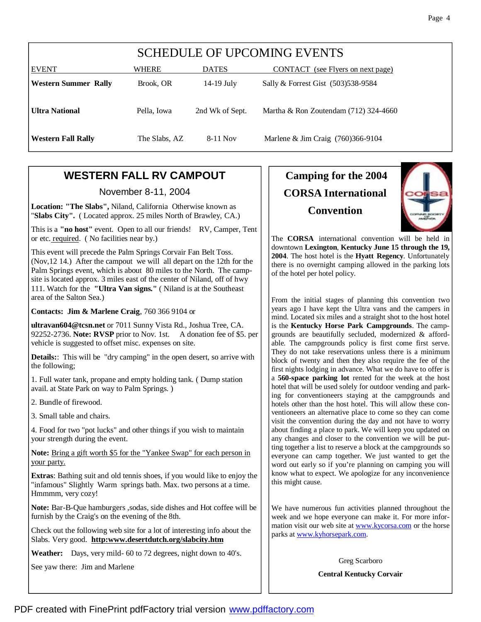| <b>SCHEDULE OF UPCOMING EVENTS</b> |               |                 |                                         |  |  |
|------------------------------------|---------------|-----------------|-----------------------------------------|--|--|
| <b>EVENT</b>                       | WHERE         | <b>DATES</b>    | CONTACT (see Flyers on next page)       |  |  |
| <b>Western Summer Rally</b>        | Brook, OR     | $14-19$ July    | Sally & Forrest Gist (503)538-9584      |  |  |
| <b>Ultra National</b>              | Pella, Iowa   | 2nd Wk of Sept. | Martha & Ron Zoutendam $(712)$ 324-4660 |  |  |
| <b>Western Fall Rally</b>          | The Slabs, AZ | $8-11$ Nov      | Marlene & Jim Craig (760)366-9104       |  |  |

# **WESTERN FALL RV CAMPOUT**

November 8-11, 2004

**Location: "The Slabs",** Niland, California Otherwise known as "**Slabs City".** ( Located approx. 25 miles North of Brawley, CA.)

This is a **"no host"** event. Open to all our friends! RV, Camper, Tent or etc. required. ( No facilities near by.)

This event will precede the Palm Springs Corvair Fan Belt Toss. (Nov,12 14.) After the campout we will all depart on the 12th for the Palm Springs event, which is about 80 miles to the North. The campsite is located approx. 3 miles east of the center of Niland, off of hwy 111. Watch for the **"Ultra Van signs."** ( Niland is at the Southeast area of the Salton Sea.)

**Contacts: Jim & Marlene Craig**, 760 366 9104 or

**ultravan604@tcsn.net** or 7011 Sunny Vista Rd., Joshua Tree, CA. 92252-2736. **Note: RVSP** prior to Nov. 1st. A donation fee of \$5. per vehicle is suggested to offset misc. expenses on site.

**Details::** This will be "dry camping" in the open desert, so arrive with the following;

1. Full water tank, propane and empty holding tank. ( Dump station avail. at State Park on way to Palm Springs. )

2. Bundle of firewood.

3. Small table and chairs.

4. Food for two "pot lucks" and other things if you wish to maintain your strength during the event.

**Note:** Bring a gift worth \$5 for the "Yankee Swap" for each person in your party.

**Extras**: Bathing suit and old tennis shoes, if you would like to enjoy the "infamous" Slightly Warm springs bath. Max. two persons at a time. Hmmmm, very cozy!

**Note:** Bar-B-Que hamburgers ,sodas, side dishes and Hot coffee will be furnish by the Craig's on the evening of the 8th.

Check out the following web site for a lot of interesting info about the Slabs. Very good. **http:www.desertdutch.org/slabcity.htm**

**Weather:** Days, very mild- 60 to 72 degrees, night down to 40's.

See yaw there: Jim and Marlene

# **Camping for the 2004 CORSA International Convention**



The **CORSA** international convention will be held in downtown **Lexington**, **Kentucky June 15 through the 19, 2004**. The host hotel is the **Hyatt Regency**. Unfortunately there is no overnight camping allowed in the parking lots of the hotel per hotel policy.

From the initial stages of planning this convention two years ago I have kept the Ultra vans and the campers in mind. Located six miles and a straight shot to the host hotel is the **Kentucky Horse Park Campgrounds**. The campgrounds are beautifully secluded, modernized & affordable. The campgrounds policy is first come first serve. They do not take reservations unless there is a minimum block of twenty and then they also require the fee of the first nights lodging in advance. What we do have to offer is a **560-space parking lot** rented for the week at the host hotel that will be used solely for outdoor vending and parking for conventioneers staying at the campgrounds and hotels other than the host hotel. This will allow these conventioneers an alternative place to come so they can come visit the convention during the day and not have to worry about finding a place to park. We will keep you updated on any changes and closer to the convention we will be putting together a list to reserve a block at the campgrounds so everyone can camp together. We just wanted to get the word out early so if you're planning on camping you will know what to expect. We apologize for any inconvenience this might cause.

We have numerous fun activities planned throughout the week and we hope everyone can make it. For more information visit our web site at www.kycorsa.com or the horse parks at www.kyhorsepark.com.

Greg Scarboro

**Central Kentucky Corvair**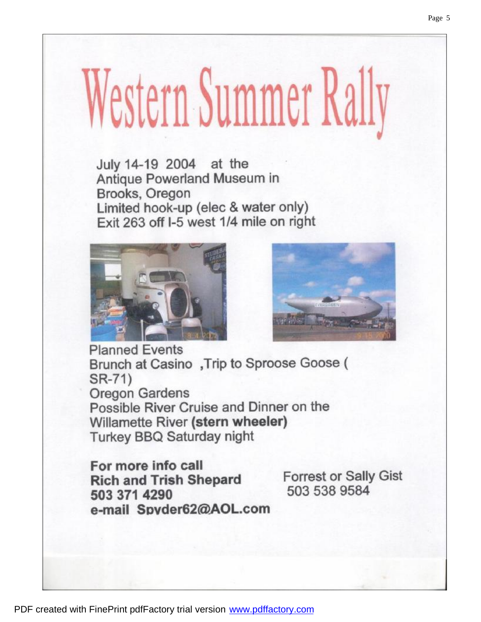# Western Summer Rally

July 14-19 2004 at the Antique Powerland Museum in Brooks, Oregon Limited hook-up (elec & water only) Exit 263 off I-5 west 1/4 mile on right





**Planned Events** Brunch at Casino, Trip to Sproose Goose ( SR-71) **Oregon Gardens** Possible River Cruise and Dinner on the Willamette River (stern wheeler) **Turkey BBQ Saturday night** 

For more info call **Rich and Trish Shepard** 503 371 4290 e-mail Spyder62@AOL.com

**Forrest or Sally Gist** 503 538 9584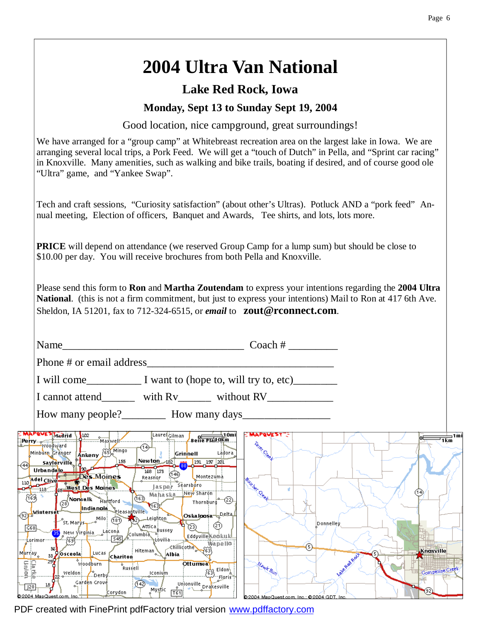# **2004 Ultra Van National**

# **Lake Red Rock, Iowa**

# **Monday, Sept 13 to Sunday Sept 19, 2004**

Good location, nice campground, great surroundings!

We have arranged for a "group camp" at Whitebreast recreation area on the largest lake in Iowa. We are arranging several local trips, a Pork Feed. We will get a "touch of Dutch" in Pella, and "Sprint car racing" in Knoxville. Many amenities, such as walking and bike trails, boating if desired, and of course good ole "Ultra" game, and "Yankee Swap".

Tech and craft sessions, "Curiosity satisfaction" (about other's Ultras). Potluck AND a "pork feed" Annual meeting, Election of officers, Banquet and Awards, Tee shirts, and lots, lots more.

**PRICE** will depend on attendance (we reserved Group Camp for a lump sum) but should be close to \$10.00 per day. You will receive brochures from both Pella and Knoxville.

Please send this form to **Ron** and **Martha Zoutendam** to express your intentions regarding the **2004 Ultra National**. (this is not a firm commitment, but just to express your intentions) Mail to Ron at 417 6th Ave. Sheldon, IA 51201, fax to 712-324-6515, or *email* to **zout@rconnect.com**.

|                                                            | Name                                                                                                                                                                                                                                                                                                                                                                                                                                                                                                                                                                                                                                                                                                                                                                                                                                                                                                                                                                                                                                                                                                                                                                         | Coach $#_$                                                          |                 |
|------------------------------------------------------------|------------------------------------------------------------------------------------------------------------------------------------------------------------------------------------------------------------------------------------------------------------------------------------------------------------------------------------------------------------------------------------------------------------------------------------------------------------------------------------------------------------------------------------------------------------------------------------------------------------------------------------------------------------------------------------------------------------------------------------------------------------------------------------------------------------------------------------------------------------------------------------------------------------------------------------------------------------------------------------------------------------------------------------------------------------------------------------------------------------------------------------------------------------------------------|---------------------------------------------------------------------|-----------------|
|                                                            | Phone # or email address                                                                                                                                                                                                                                                                                                                                                                                                                                                                                                                                                                                                                                                                                                                                                                                                                                                                                                                                                                                                                                                                                                                                                     |                                                                     |                 |
|                                                            |                                                                                                                                                                                                                                                                                                                                                                                                                                                                                                                                                                                                                                                                                                                                                                                                                                                                                                                                                                                                                                                                                                                                                                              |                                                                     |                 |
|                                                            | I cannot attend with Rv without RV                                                                                                                                                                                                                                                                                                                                                                                                                                                                                                                                                                                                                                                                                                                                                                                                                                                                                                                                                                                                                                                                                                                                           |                                                                     |                 |
|                                                            | How many people?<br><u>Let</u> How many days                                                                                                                                                                                                                                                                                                                                                                                                                                                                                                                                                                                                                                                                                                                                                                                                                                                                                                                                                                                                                                                                                                                                 |                                                                     |                 |
| 44)<br>G68                                                 | <b>MAPQVES Medrid \102</b> SMAXWeJI<br>[Laurell <u>ciiman</u> ]<br>Belle Plan (10mi)<br>I <b>Perry</b> y youdward<br>-(14)-<br>Minburn Granger 4nkeny 655 Mingo<br>Ládora<br>Grinnell<br>Newton $122$ $\frac{1}{20}$ $\frac{191}{20}$ $\frac{197}{201}$ $\frac{201}{20}$<br>155<br>saylorville <b>T</b><br>مط∐ا<br>Urbandale<br>168 173<br>110 del Clive Des Moines<br>. Montezuma<br>Reasnor<br>Séarsbóro<br>as per<br>New Sharon<br>$\frac{1}{(169)^{2}}$<br><b>CED</b> Mahaska<br>(2) Norwalk Hartford<br>Thornburg <sup>10</sup> (2)<br>भन्ध<br>Indianola Pleasantville<br><sub>o)</sub> iwinterse <mark>t</mark><br>Oskajoosa – <sup>Delta</sup> –<br>St. Marys Mile (181) 22 Leighton<br>☮<br>†∖ි∂<br>Attical Bussey<br>35) New Yirgi <mark>nia <sub>- o</sub>Lacona .</mark><br>√⊂olumbia_<br>, Eddyville Keciku kl<br>$\frac{1}{2}$ $\frac{1}{2}$ $\frac{1}{2}$ $\frac{1}{2}$ $\frac{1}{2}$ $\frac{1}{2}$ $\frac{1}{2}$ $\frac{1}{2}$ $\frac{1}{2}$ $\frac{1}{2}$ $\frac{1}{2}$ $\frac{1}{2}$ $\frac{1}{2}$ $\frac{1}{2}$ $\frac{1}{2}$ $\frac{1}{2}$ $\frac{1}{2}$ $\frac{1}{2}$ $\frac{1}{2}$ $\frac{1}{2}$ $\frac{1}{2}$ $\frac{1}{2}$<br>-1637<br>NEovilia ----- | <b>MAPQUEST</b> "<br>Terez Cree<br><b>Burrher</b> Qeef<br>Donnelley | ∍1mi<br>1km     |
| M <mark>urr</mark> ay <sub>o</sub>                         | ---Lorimor---<br>Wapello<br><b>Exillidothe 163</b><br>Hiteman <sup>1</sup><br>33 Osceola Lucas Chariton<br>Albia                                                                                                                                                                                                                                                                                                                                                                                                                                                                                                                                                                                                                                                                                                                                                                                                                                                                                                                                                                                                                                                             | 6<br>Knoxville                                                      |                 |
| Latité<br>Latité<br>$\overline{\mathbb{F}_p}$<br>80004.BA- | Woodburn<br><b>Ottumva</b><br><b>Russell</b><br>$\left(\frac{1}{63}\right)$ Eldon)<br><b>Iconium</b><br>weldon Coerby<br>$-$ Flori $\widehat{s}$<br>Garden Grove<br>(142)<br>Mystic The Unionville Drakesville<br>プ<br>Corydon                                                                                                                                                                                                                                                                                                                                                                                                                                                                                                                                                                                                                                                                                                                                                                                                                                                                                                                                               | Mawk Run<br>(92)                                                    | Competing Creek |

PDF created with FinePrint pdfFactory trial version [www.pdffactory.com](http://www.pdffactory.com)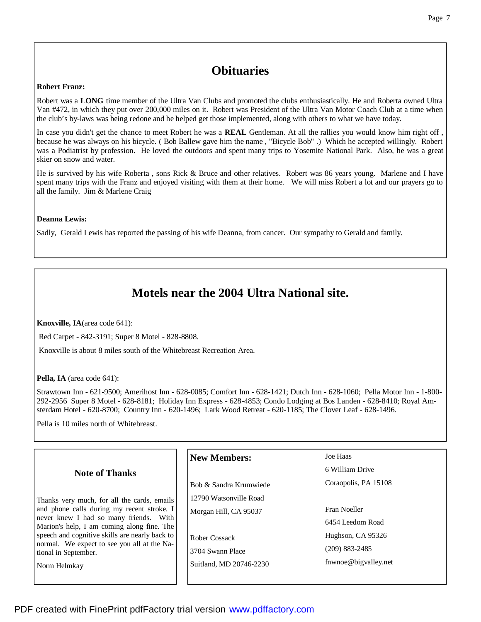# **Obituaries**

#### **Robert Franz:**

Robert was a **LONG** time member of the Ultra Van Clubs and promoted the clubs enthusiastically. He and Roberta owned Ultra Van #472, in which they put over 200,000 miles on it. Robert was President of the Ultra Van Motor Coach Club at a time when the club's by-laws was being redone and he helped get those implemented, along with others to what we have today.

In case you didn't get the chance to meet Robert he was a **REAL** Gentleman. At all the rallies you would know him right off , because he was always on his bicycle. ( Bob Ballew gave him the name , "Bicycle Bob" .) Which he accepted willingly. Robert was a Podiatrist by profession. He loved the outdoors and spent many trips to Yosemite National Park. Also, he was a great skier on snow and water.

He is survived by his wife Roberta , sons Rick & Bruce and other relatives. Robert was 86 years young. Marlene and I have spent many trips with the Franz and enjoyed visiting with them at their home. We will miss Robert a lot and our prayers go to all the family. Jim & Marlene Craig

#### **Deanna Lewis:**

Sadly, Gerald Lewis has reported the passing of his wife Deanna, from cancer. Our sympathy to Gerald and family.

# **Motels near the 2004 Ultra National site.**

**Knoxville, IA**(area code 641):

Red Carpet - 842-3191; Super 8 Motel - 828-8808.

Knoxville is about 8 miles south of the Whitebreast Recreation Area.

**Pella, IA** (area code 641):

Strawtown Inn - 621-9500; Amerihost Inn - 628-0085; Comfort Inn - 628-1421; Dutch Inn - 628-1060; Pella Motor Inn - 1-800- 292-2956 Super 8 Motel - 628-8181; Holiday Inn Express - 628-4853; Condo Lodging at Bos Landen - 628-8410; Royal Amsterdam Hotel - 620-8700; Country Inn - 620-1496; Lark Wood Retreat - 620-1185; The Clover Leaf - 628-1496.

Pella is 10 miles north of Whitebreast.

|                                                                                                                                                                                   | <b>New Members:</b>     | Joe Haas             |
|-----------------------------------------------------------------------------------------------------------------------------------------------------------------------------------|-------------------------|----------------------|
| <b>Note of Thanks</b>                                                                                                                                                             |                         | 6 William Drive      |
|                                                                                                                                                                                   | Bob & Sandra Krumwiede  | Coraopolis, PA 15108 |
| Thanks very much, for all the cards, emails<br>and phone calls during my recent stroke. I<br>never knew I had so many friends. With<br>Marion's help, I am coming along fine. The | 12790 Watsonville Road  |                      |
|                                                                                                                                                                                   | Morgan Hill, CA 95037   | Fran Noeller         |
|                                                                                                                                                                                   |                         | 6454 Leedom Road     |
| speech and cognitive skills are nearly back to                                                                                                                                    | Rober Cossack           | Hughson, CA 95326    |
| normal. We expect to see you all at the Na-<br>tional in September.                                                                                                               | 3704 Swann Place        | $(209)$ 883-2485     |
| Norm Helmkay                                                                                                                                                                      | Suitland, MD 20746-2230 | fnwnoe@bigvalley.net |
|                                                                                                                                                                                   |                         |                      |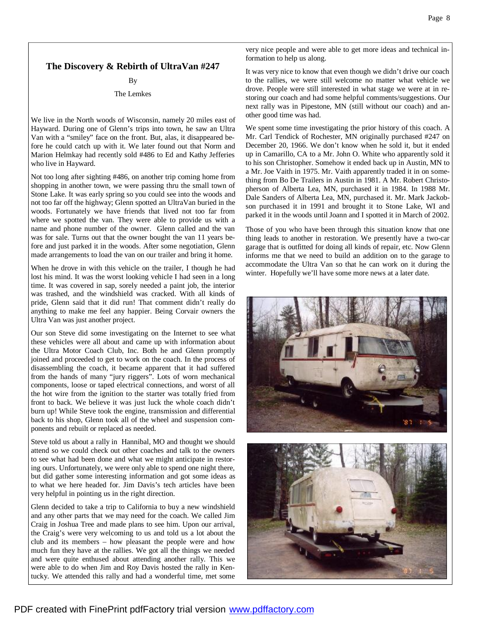#### **The Discovery & Rebirth of UltraVan #247**

#### By

#### The Lemkes

We live in the North woods of Wisconsin, namely 20 miles east of Hayward. During one of Glenn's trips into town, he saw an Ultra Van with a "smiley" face on the front. But, alas, it disappeared before he could catch up with it. We later found out that Norm and Marion Helmkay had recently sold #486 to Ed and Kathy Jefferies who live in Hayward.

Not too long after sighting #486, on another trip coming home from shopping in another town, we were passing thru the small town of Stone Lake. It was early spring so you could see into the woods and not too far off the highway; Glenn spotted an UltraVan buried in the woods. Fortunately we have friends that lived not too far from where we spotted the van. They were able to provide us with a name and phone number of the owner. Glenn called and the van was for sale. Turns out that the owner bought the van 11 years before and just parked it in the woods. After some negotiation, Glenn made arrangements to load the van on our trailer and bring it home.

When he drove in with this vehicle on the trailer, I though he had lost his mind. It was the worst looking vehicle I had seen in a long time. It was covered in sap, sorely needed a paint job, the interior was trashed, and the windshield was cracked. With all kinds of pride, Glenn said that it did run! That comment didn't really do anything to make me feel any happier. Being Corvair owners the Ultra Van was just another project.

Our son Steve did some investigating on the Internet to see what these vehicles were all about and came up with information about the Ultra Motor Coach Club, Inc. Both he and Glenn promptly joined and proceeded to get to work on the coach. In the process of disassembling the coach, it became apparent that it had suffered from the hands of many "jury riggers". Lots of worn mechanical components, loose or taped electrical connections, and worst of all the hot wire from the ignition to the starter was totally fried from front to back. We believe it was just luck the whole coach didn't burn up! While Steve took the engine, transmission and differential back to his shop, Glenn took all of the wheel and suspension components and rebuilt or replaced as needed.

Steve told us about a rally in Hannibal, MO and thought we should attend so we could check out other coaches and talk to the owners to see what had been done and what we might anticipate in restoring ours. Unfortunately, we were only able to spend one night there, but did gather some interesting information and got some ideas as to what we here headed for. Jim Davis's tech articles have been very helpful in pointing us in the right direction.

Glenn decided to take a trip to California to buy a new windshield and any other parts that we may need for the coach. We called Jim Craig in Joshua Tree and made plans to see him. Upon our arrival, the Craig's were very welcoming to us and told us a lot about the club and its members – how pleasant the people were and how much fun they have at the rallies. We got all the things we needed and were quite enthused about attending another rally. This we were able to do when Jim and Roy Davis hosted the rally in Kentucky. We attended this rally and had a wonderful time, met some very nice people and were able to get more ideas and technical information to help us along.

It was very nice to know that even though we didn't drive our coach to the rallies, we were still welcome no matter what vehicle we drove. People were still interested in what stage we were at in restoring our coach and had some helpful comments/suggestions. Our next rally was in Pipestone, MN (still without our coach) and another good time was had.

We spent some time investigating the prior history of this coach. A Mr. Carl Tendick of Rochester, MN originally purchased #247 on December 20, 1966. We don't know when he sold it, but it ended up in Camarillo, CA to a Mr. John O. White who apparently sold it to his son Christopher. Somehow it ended back up in Austin, MN to a Mr. Joe Vaith in 1975. Mr. Vaith apparently traded it in on something from Bo De Trailers in Austin in 1981. A Mr. Robert Christopherson of Alberta Lea, MN, purchased it in 1984. In 1988 Mr. Dale Sanders of Alberta Lea, MN, purchased it. Mr. Mark Jackobson purchased it in 1991 and brought it to Stone Lake, WI and parked it in the woods until Joann and I spotted it in March of 2002.

Those of you who have been through this situation know that one thing leads to another in restoration. We presently have a two-car garage that is outfitted for doing all kinds of repair, etc. Now Glenn informs me that we need to build an addition on to the garage to accommodate the Ultra Van so that he can work on it during the winter. Hopefully we'll have some more news at a later date.



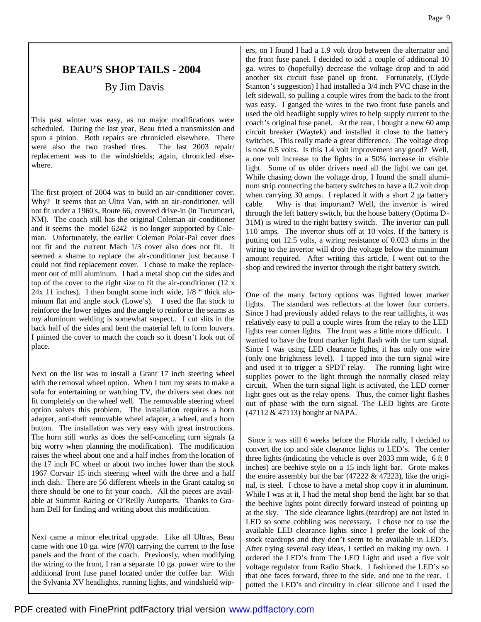# **BEAU'S SHOP TAILS - 2004**

# By Jim Davis

This past winter was easy, as no major modifications were scheduled. During the last year, Beau fried a transmission and spun a pinion. Both repairs are chronicled elsewhere. There were also the two trashed tires. The last 2003 repair/ replacement was to the windshields; again, chronicled elsewhere.

The first project of 2004 was to build an air-conditioner cover. Why? It seems that an Ultra Van, with an air-conditioner, will not fit under a 1960's, Route 66, covered drive-in (in Tucumcari, NM). The coach still has the original Coleman air-conditioner and it seems the model 6242 is no longer supported by Coleman. Unfortunately, the earlier Coleman Polar-Pal cover does not fit and the current Mach 1/3 cover also does not fit. It seemed a shame to replace the air-conditioner just because I could not find replacement cover. I chose to make the replacement out of mill aluminum. I had a metal shop cut the sides and top of the cover to the right size to fit the air-conditioner (12 x 24x 11 inches). I then bought some inch wide, 1/8 " thick aluminum flat and angle stock (Lowe's). I used the flat stock to reinforce the lower edges and the angle to reinforce the seams as my aluminum welding is somewhat suspect.. I cut slits in the back half of the sides and bent the material left to form louvers. I painted the cover to match the coach so it doesn't look out of place.

Next on the list was to install a Grant 17 inch steering wheel with the removal wheel option. When I turn my seats to make a sofa for entertaining or watching TV, the drivers seat does not fit completely on the wheel well. The removable steering wheel option solves this problem. The installation requires a horn adapter, anti-theft removable wheel adapter, a wheel, and a horn button. The installation was very easy with great instructions. The horn still works as does the self-canceling turn signals (a big worry when planning the modification). The modification raises the wheel about one and a half inches from the location of the 17 inch FC wheel or about two inches lower than the stock 1967 Corvair 15 inch steering wheel with the three and a half inch dish. There are 56 different wheels in the Grant catalog so there should be one to fit your coach. All the pieces are available at Summit Racing or O'Reilly Autoparts. Thanks to Graham Dell for finding and writing about this modification.

Next came a minor electrical upgrade. Like all Ultras, Beau came with one 10 ga. wire (#70) carrying the current to the fuse panels and the front of the coach. Previously, when modifying the wiring to the front, I ran a separate 10 ga. power wire to the additional front fuse panel located under the coffee bar. With the Sylvania XV headlights, running lights, and windshield wipers, on I found I had a 1.9 volt drop between the alternator and the front fuse panel. I decided to add a couple of additional 10 ga. wires to (hopefully) decrease the voltage drop and to add another six circuit fuse panel up front. Fortunately, (Clyde Stanton's suggestion) I had installed a 3/4 inch PVC chase in the left sidewall, so pulling a couple wires from the back to the front was easy. I ganged the wires to the two front fuse panels and used the old headlight supply wires to help supply current to the coach's original fuse panel. At the rear, I bought a new 60 amp circuit breaker (Waytek) and installed it close to the battery switches. This really made a great difference. The voltage drop is now 0.5 volts. Is this 1.4 volt improvement any good? Well, a one volt increase to the lights in a 50% increase in visible light. Some of us older drivers need all the light we can get. While chasing down the voltage drop, I found the small aluminum strip connecting the battery switches to have a 0.2 volt drop when carrying 30 amps. I replaced it with a short 2 ga battery cable. Why is that important? Well, the invertor is wired through the left battery switch, but the house battery (Optima D-31M) is wired to the right battery switch. The invertor can pull 110 amps. The invertor shuts off at 10 volts. If the battery is putting out 12.5 volts, a wiring resistance of 0.023 ohms in the wiring to the invertor will drop the voltage below the minimum amount required. After writing this article, I went out to the shop and rewired the invertor through the right battery switch.

One of the many factory options was lighted lower marker lights. The standard was reflectors at the lower four corners. Since I had previously added relays to the rear taillights, it was relatively easy to pull a couple wires from the relay to the LED lights rear corner lights. The front was a little more difficult. I wanted to have the front marker light flash with the turn signal. Since I was using LED clearance lights, it has only one wire (only one brightness level). I tapped into the turn signal wire and used it to trigger a SPDT relay. The running light wire supplies power to the light through the normally closed relay circuit. When the turn signal light is activated, the LED corner light goes out as the relay opens. Thus, the corner light flashes out of phase with the turn signal. The LED lights are Grote (47112 & 47113) bought at NAPA.

Since it was still 6 weeks before the Florida rally, I decided to convert the top and side clearance lights to LED's. The center three lights (indicating the vehicle is over 2033 mm wide, 6 ft 8 inches) are beehive style on a 15 inch light bar. Grote makes the entire assembly but the bar  $(47222 \& 47223)$ , like the original, is steel. I chose to have a metal shop copy it in aluminum. While I was at it, I had the metal shop bend the light bar so that the beehive lights point directly forward instead of pointing up at the sky. The side clearance lights (teardrop) are not listed in LED so some cobbling was necessary. I chose not to use the available LED clearance lights since I prefer the look of the stock teardrops and they don't seem to be available in LED's. After trying several easy ideas, I settled on making my own. I ordered the LED's from The LED Light and used a five volt voltage regulator from Radio Shack. I fashioned the LED's so that one faces forward, three to the side, and one to the rear. I potted the LED's and circuitry in clear silicone and I used the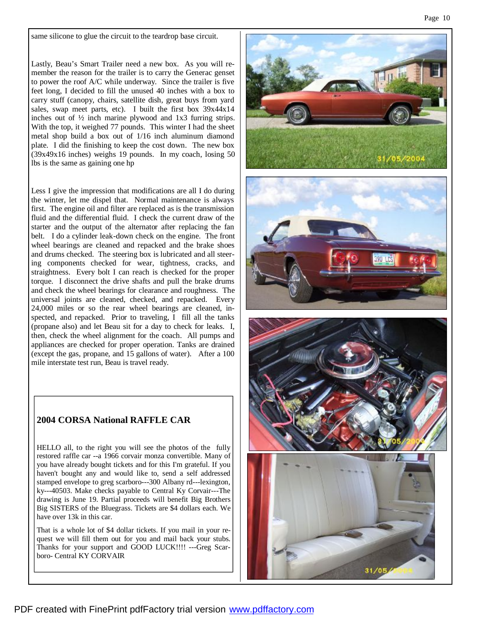same silicone to glue the circuit to the teardrop base circuit.

Lastly, Beau's Smart Trailer need a new box. As you will remember the reason for the trailer is to carry the Generac genset to power the roof A/C while underway. Since the trailer is five feet long, I decided to fill the unused 40 inches with a box to carry stuff (canopy, chairs, satellite dish, great buys from yard sales, swap meet parts, etc). I built the first box 39x44x14 inches out of ½ inch marine plywood and 1x3 furring strips. With the top, it weighed 77 pounds. This winter I had the sheet metal shop build a box out of 1/16 inch aluminum diamond plate. I did the finishing to keep the cost down. The new box (39x49x16 inches) weighs 19 pounds. In my coach, losing 50 lbs is the same as gaining one hp

Less I give the impression that modifications are all I do during the winter, let me dispel that. Normal maintenance is always first. The engine oil and filter are replaced as is the transmission fluid and the differential fluid. I check the current draw of the starter and the output of the alternator after replacing the fan belt. I do a cylinder leak-down check on the engine. The front wheel bearings are cleaned and repacked and the brake shoes and drums checked. The steering box is lubricated and all steering components checked for wear, tightness, cracks, and straightness. Every bolt I can reach is checked for the proper torque. I disconnect the drive shafts and pull the brake drums and check the wheel bearings for clearance and roughness. The universal joints are cleaned, checked, and repacked. Every 24,000 miles or so the rear wheel bearings are cleaned, inspected, and repacked. Prior to traveling, I fill all the tanks (propane also) and let Beau sit for a day to check for leaks. I, then, check the wheel alignment for the coach. All pumps and appliances are checked for proper operation. Tanks are drained (except the gas, propane, and 15 gallons of water). After a 100 mile interstate test run, Beau is travel ready.

## **2004 CORSA National RAFFLE CAR**

HELLO all, to the right you will see the photos of the fully restored raffle car --a 1966 corvair monza convertible. Many of you have already bought tickets and for this I'm grateful. If you haven't bought any and would like to, send a self addressed stamped envelope to greg scarboro---300 Albany rd---lexington, ky---40503. Make checks payable to Central Ky Corvair---The drawing is June 19. Partial proceeds will benefit Big Brothers Big SISTERS of the Bluegrass. Tickets are \$4 dollars each. We have over 13k in this car.

That is a whole lot of \$4 dollar tickets. If you mail in your request we will fill them out for you and mail back your stubs. Thanks for your support and GOOD LUCK!!!! ---Greg Scarboro- Central KY CORVAIR

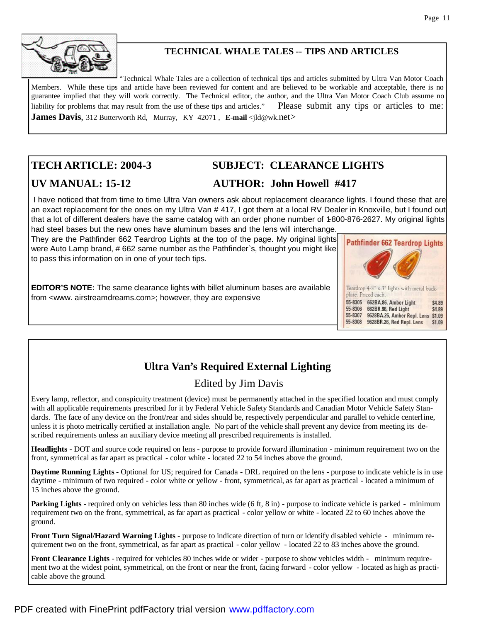

# **TECHNICAL WHALE TALES** -- **TIPS AND ARTICLES**

"Technical Whale Tales are a collection of technical tips and articles submitted by Ultra Van Motor Coach Members. While these tips and article have been reviewed for content and are believed to be workable and acceptable, there is no guarantee implied that they will work correctly. The Technical editor, the author, and the Ultra Van Motor Coach Club assume no liability for problems that may result from the use of these tips and articles." Please submit any tips or articles to me: **James Davis**, 312 Butterworth Rd, Murray, KY 42071, **E-mail** <jld@wk.net>

# **TECH ARTICLE: 2004-3 SUBJECT: CLEARANCE LIGHTS**

# **UV MANUAL: 15-12 AUTHOR: John Howell #417**

I have noticed that from time to time Ultra Van owners ask about replacement clearance lights. I found these that are an exact replacement for the ones on my Ultra Van # 417, I got them at a local RV Dealer in Knoxville, but I found out that a lot of different dealers have the same catalog with an order phone number of 1-800-876-2627. My original lights had steel bases but the new ones have aluminum bases and the lens will interchange.

They are the Pathfinder 662 Teardrop Lights at the top of the page. My original lights were Auto Lamp brand, # 662 same number as the Pathfinder`s, thought you might like to pass this information on in one of your tech tips.

**EDITOR'S NOTE:** The same clearance lights with billet aluminum bases are available from <www. airstreamdreams.com>; however, they are expensive



# **Ultra Van's Required External Lighting**

# Edited by Jim Davis

Every lamp, reflector, and conspicuity treatment (device) must be permanently attached in the specified location and must comply with all applicable requirements prescribed for it by Federal Vehicle Safety Standards and Canadian Motor Vehicle Safety Standards. The face of any device on the front/rear and sides should be, respectively perpendicular and parallel to vehicle centerline, unless it is photo metrically certified at installation angle. No part of the vehicle shall prevent any device from meeting its described requirements unless an auxiliary device meeting all prescribed requirements is installed.

**Headlights** - DOT and source code required on lens - purpose to provide forward illumination - minimum requirement two on the front, symmetrical as far apart as practical - color white - located 22 to 54 inches above the ground.

**Daytime Running Lights** - Optional for US; required for Canada - DRL required on the lens - purpose to indicate vehicle is in use daytime - minimum of two required - color white or yellow - front, symmetrical, as far apart as practical - located a minimum of 15 inches above the ground.

**Parking Lights** - required only on vehicles less than 80 inches wide (6 ft, 8 in) - purpose to indicate vehicle is parked - minimum requirement two on the front, symmetrical, as far apart as practical - color yellow or white - located 22 to 60 inches above the ground.

**Front Turn Signal/Hazard Warning Lights** - purpose to indicate direction of turn or identify disabled vehicle - minimum requirement two on the front, symmetrical, as far apart as practical - color yellow - located 22 to 83 inches above the ground.

**Front Clearance Lights** - required for vehicles 80 inches wide or wider - purpose to show vehicles width - minimum requirement two at the widest point, symmetrical, on the front or near the front, facing forward - color yellow - located as high as practicable above the ground.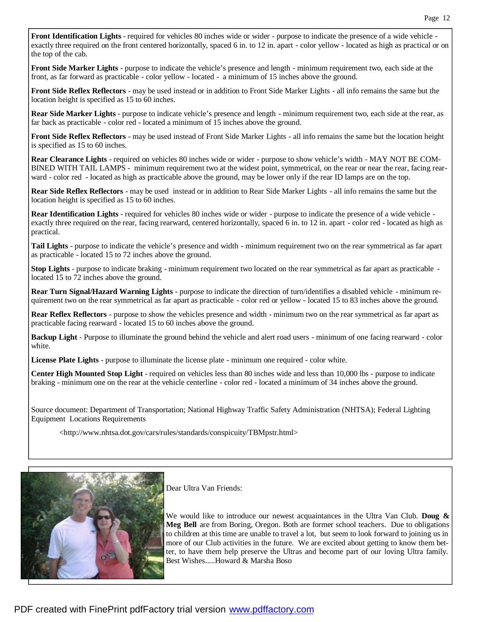**Front Identification Lights** - required for vehicles 80 inches wide or wider - purpose to indicate the presence of a wide vehicle exactly three required on the front centered horizontally, spaced 6 in. to 12 in. apart - color yellow - located as high as practical or on the top of the cab.

**Front Side Marker Lights** - purpose to indicate the vehicle's presence and length - minimum requirement two, each side at the front, as far forward as practicable - color yellow - located - a minimum of 15 inches above the ground.

**Front Side Reflex Reflectors** - may be used instead or in addition to Front Side Marker Lights - all info remains the same but the location height is specified as 15 to 60 inches.

**Rear Side Marker Lights** - purpose to indicate vehicle's presence and length - minimum requirement two, each side at the rear, as far back as practicable - color red - located a minimum of 15 inches above the ground.

**Front Side Reflex Reflectors** - may be used instead of Front Side Marker Lights - all info remains the same but the location height is specified as 15 to 60 inches.

**Rear Clearance Lights** - required on vehicles 80 inches wide or wider - purpose to show vehicle's width - MAY NOT BE COM-BINED WITH TAIL LAMPS - minimum requirement two at the widest point, symmetrical, on the rear or near the rear, facing rearward - color red - located as high as practicable above the ground, may be lower only if the rear ID lamps are on the top.

**Rear Side Reflex Reflectors** - may be used instead or in addition to Rear Side Marker Lights - all info remains the same but the location height is specified as 15 to 60 inches.

**Rear Identification Lights** - required for vehicles 80 inches wide or wider - purpose to indicate the presence of a wide vehicle exactly three required on the rear, facing rearward, centered horizontally, spaced 6 in. to 12 in. apart - color red - located as high as practical.

**Tail Lights** - purpose to indicate the vehicle's presence and width - minimum requirement two on the rear symmetrical as far apart as practicable - located 15 to 72 inches above the ground.

**Stop Lights** - purpose to indicate braking - minimum requirement two located on the rear symmetrical as far apart as practicable located 15 to 72 inches above the ground.

**Rear Turn Signal/Hazard Warning Lights** - purpose to indicate the direction of turn/identifies a disabled vehicle - minimum requirement two on the rear symmetrical as far apart as practicable - color red or yellow - located 15 to 83 inches above the ground.

**Rear Reflex Reflectors** - purpose to show the vehicles presence and width - minimum two on the rear symmetrical as far apart as practicable facing rearward - located 15 to 60 inches above the ground.

**Backup Light** - Purpose to illuminate the ground behind the vehicle and alert road users - minimum of one facing rearward - color white.

**License Plate Lights** - purpose to illuminate the license plate - minimum one required - color white.

**Center High Mounted Stop Light** - required on vehicles less than 80 inches wide and less than 10,000 lbs - purpose to indicate braking - minimum one on the rear at the vehicle centerline - color red - located a minimum of 34 inches above the ground.

Source document: Department of Transportation; National Highway Traffic Safety Administration (NHTSA); Federal Lighting Equipment Locations Requirements

<http://www.nhtsa.dot.gov/cars/rules/standards/conspicuity/TBMpstr.html>



Dear Ultra Van Friends:

We would like to introduce our newest acquaintances in the Ultra Van Club. **Doug & Meg Bell** are from Boring, Oregon. Both are former school teachers. Due to obligations to children at this time are unable to travel a lot, but seem to look forward to joining us in more of our Club activities in the future. We are excited about getting to know them better, to have them help preserve the Ultras and become part of our loving Ultra family. Best Wishes.....Howard & Marsha Boso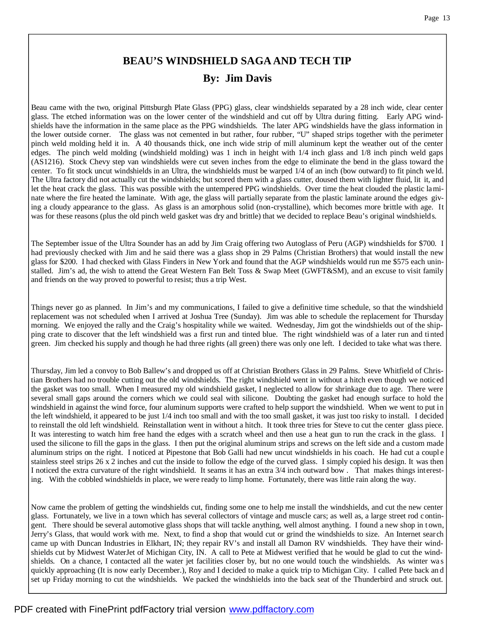# **BEAU'S WINDSHIELD SAGA AND TECH TIP By: Jim Davis**

Beau came with the two, original Pittsburgh Plate Glass (PPG) glass, clear windshields separated by a 28 inch wide, clear center glass. The etched information was on the lower center of the windshield and cut off by Ultra during fitting. Early APG windshields have the information in the same place as the PPG windshields. The later APG windshields have the glass information in the lower outside corner. The glass was not cemented in but rather, four rubber, "U" shaped strips together with the perimeter pinch weld molding held it in. A 40 thousands thick, one inch wide strip of mill aluminum kept the weather out of the center edges. The pinch weld molding (windshield molding) was 1 inch in height with 1/4 inch glass and 1/8 inch pinch weld gaps (AS1216). Stock Chevy step van windshields were cut seven inches from the edge to eliminate the bend in the glass toward the center. To fit stock uncut windshields in an Ultra, the windshields must be warped 1/4 of an inch (bow outward) to fit pinch we ld. The Ultra factory did not actually cut the windshields; but scored them with a glass cutter, doused them with lighter fluid, lit it, and let the heat crack the glass. This was possible with the untempered PPG windshields. Over time the heat clouded the plastic laminate where the fire heated the laminate. With age, the glass will partially separate from the plastic laminate around the edges giving a cloudy appearance to the glass. As glass is an amorphous solid (non-crystalline), which becomes more brittle with age. It was for these reasons (plus the old pinch weld gasket was dry and brittle) that we decided to replace Beau's original windshields.

The September issue of the Ultra Sounder has an add by Jim Craig offering two Autoglass of Peru (AGP) windshields for \$700. I had previously checked with Jim and he said there was a glass shop in 29 Palms (Christian Brothers) that would install the new glass for \$200. I had checked with Glass Finders in New York and found that the AGP windshields would run me \$575 each uninstalled. Jim's ad, the wish to attend the Great Western Fan Belt Toss & Swap Meet (GWFT&SM), and an excuse to visit family and friends on the way proved to powerful to resist; thus a trip West.

Things never go as planned. In Jim's and my communications, I failed to give a definitive time schedule, so that the windshield replacement was not scheduled when I arrived at Joshua Tree (Sunday). Jim was able to schedule the replacement for Thursday morning. We enjoyed the rally and the Craig's hospitality while we waited. Wednesday, Jim got the windshields out of the shipping crate to discover that the left windshield was a first run and tinted blue. The right windshield was of a later run and ti nted green. Jim checked his supply and though he had three rights (all green) there was only one left. I decided to take what was there.

Thursday, Jim led a convoy to Bob Ballew's and dropped us off at Christian Brothers Glass in 29 Palms. Steve Whitfield of Christian Brothers had no trouble cutting out the old windshields. The right windshield went in without a hitch even though we noticed the gasket was too small. When I measured my old windshield gasket, I neglected to allow for shrinkage due to age. There were several small gaps around the corners which we could seal with silicone. Doubting the gasket had enough surface to hold the windshield in against the wind force, four aluminum supports were crafted to help support the windshield. When we went to put in the left windshield, it appeared to be just 1/4 inch too small and with the too small gasket, it was just too risky to install. I decided to reinstall the old left windshield. Reinstallation went in without a hitch. It took three tries for Steve to cut the center glass piece. It was interesting to watch him free hand the edges with a scratch wheel and then use a heat gun to run the crack in the glass. I used the silicone to fill the gaps in the glass. I then put the original aluminum strips and screws on the left side and a custom made aluminum strips on the right. I noticed at Pipestone that Bob Galli had new uncut windshields in his coach. He had cut a couple stainless steel strips 26 x 2 inches and cut the inside to follow the edge of the curved glass. I simply copied his design. It was then I noticed the extra curvature of the right windshield. It seams it has an extra 3/4 inch outward bow . That makes things interesting. With the cobbled windshields in place, we were ready to limp home. Fortunately, there was little rain along the way.

Now came the problem of getting the windshields cut, finding some one to help me install the windshields, and cut the new center glass. Fortunately, we live in a town which has several collectors of vintage and muscle cars; as well as, a large street rod contingent. There should be several automotive glass shops that will tackle anything, well almost anything. I found a new shop in t own, Jerry's Glass, that would work with me. Next, to find a shop that would cut or grind the windshields to size. An Internet sear ch came up with Duncan Industries in Elkhart, IN; they repair RV's and install all Damon RV windshields. They have their windshields cut by Midwest WaterJet of Michigan City, IN. A call to Pete at Midwest verified that he would be glad to cut the windshields. On a chance, I contacted all the water jet facilities closer by, but no one would touch the windshields. As winter wa s quickly approaching (It is now early December.), Roy and I decided to make a quick trip to Michigan City. I called Pete back an d set up Friday morning to cut the windshields. We packed the windshields into the back seat of the Thunderbird and struck out.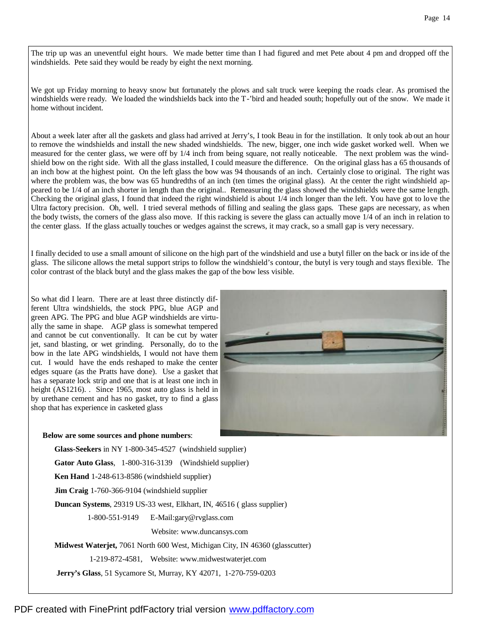The trip up was an uneventful eight hours. We made better time than I had figured and met Pete about 4 pm and dropped off the windshields. Pete said they would be ready by eight the next morning.

We got up Friday morning to heavy snow but fortunately the plows and salt truck were keeping the roads clear. As promised the windshields were ready. We loaded the windshields back into the T-'bird and headed south; hopefully out of the snow. We made it home without incident.

About a week later after all the gaskets and glass had arrived at Jerry's, I took Beau in for the instillation. It only took ab out an hour to remove the windshields and install the new shaded windshields. The new, bigger, one inch wide gasket worked well. When we measured for the center glass, we were off by 1/4 inch from being square, not really noticeable. The next problem was the windshield bow on the right side. With all the glass installed, I could measure the difference. On the original glass has a 65 thousands of an inch bow at the highest point. On the left glass the bow was 94 thousands of an inch. Certainly close to original. The right was where the problem was, the bow was 65 hundredths of an inch (ten times the original glass). At the center the right windshield appeared to be 1/4 of an inch shorter in length than the original.. Remeasuring the glass showed the windshields were the same length. Checking the original glass, I found that indeed the right windshield is about 1/4 inch longer than the left. You have got to love the Ultra factory precision. Oh, well. I tried several methods of filling and sealing the glass gaps. These gaps are necessary, as when the body twists, the corners of the glass also move. If this racking is severe the glass can actually move 1/4 of an inch in relation to the center glass. If the glass actually touches or wedges against the screws, it may crack, so a small gap is very necessary.

I finally decided to use a small amount of silicone on the high part of the windshield and use a butyl filler on the back or inside of the glass. The silicone allows the metal support strips to follow the windshield's contour, the butyl is very tough and stays flexible. The color contrast of the black butyl and the glass makes the gap of the bow less visible.

So what did I learn. There are at least three distinctly different Ultra windshields, the stock PPG, blue AGP and green APG. The PPG and blue AGP windshields are virtually the same in shape. AGP glass is somewhat tempered and cannot be cut conventionally. It can be cut by water jet, sand blasting, or wet grinding. Personally, do to the bow in the late APG windshields, I would not have them cut. I would have the ends reshaped to make the center edges square (as the Pratts have done). Use a gasket that has a separate lock strip and one that is at least one inch in height (AS1216). . Since 1965, most auto glass is held in by urethane cement and has no gasket, try to find a glass shop that has experience in casketed glass



#### **Below are some sources and phone numbers**:

 **Glass-Seekers** in NY 1-800-345-4527 (windshield supplier) **Gator Auto Glass**, 1-800-316-3139 (Windshield supplier) **Ken Hand** 1-248-613-8586 (windshield supplier) **Jim Craig** 1-760-366-9104 (windshield supplier **Duncan Systems**, 29319 US-33 west, Elkhart, IN, 46516 ( glass supplier) 1-800-551-9149 E-Mail:gary@rvglass.com Website: www.duncansys.com **Midwest Waterjet,** 7061 North 600 West, Michigan City, IN 46360 (glasscutter) 1-219-872-4581, Website: www.midwestwaterjet.com **Jerry's Glass**, 51 Sycamore St, Murray, KY 42071, 1-270-759-0203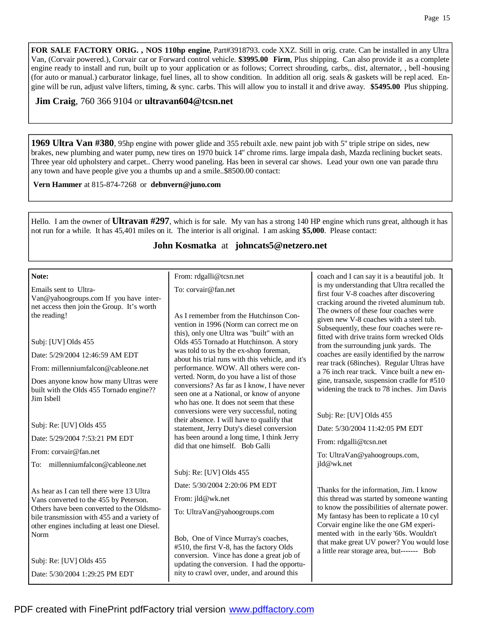**FOR SALE FACTORY ORIG. , NOS 110hp engine**, Part#3918793. code XXZ. Still in orig. crate. Can be installed in any Ultra Van, (Corvair powered.), Corvair car or Forward control vehicle. **\$3995.00 Firm**, Plus shipping. Can also provide it as a complete engine ready to install and run, built up to your application or as follows; Correct shrouding, carbs,. dist, alternator, , bell -housing (for auto or manual.) carburator linkage, fuel lines, all to show condition. In addition all orig. seals & gaskets will be repl aced. Engine will be run, adjust valve lifters, timing, & sync. carbs. This will allow you to install it and drive away. **\$5495.00** Plus shipping.

### **Jim Craig**, 760 366 9104 or **ultravan604@tcsn.net**

**1969 Ultra Van #380**, 95hp engine with power glide and 355 rebuilt axle. new paint job with 5'' triple stripe on sides, new brakes, new plumbing and water pump, new tires on 1970 buick 14'' chrome rims. large impala dash, Mazda reclining bucket seats. Three year old upholstery and carpet.. Cherry wood paneling. Has been in several car shows. Lead your own one van parade thru any town and have people give you a thumbs up and a smile..\$8500.00 contact:

**Vern Hammer** at 815-874-7268 or **debnvern@juno.com**

Hello. I am the owner of **Ultravan #297**, which is for sale. My van has a strong 140 HP engine which runs great, although it has not run for a while. It has 45,401 miles on it. The interior is all original. I am asking **\$5,000**. Please contact:

### **John Kosmatka** at **johncats5@netzero.net**

| Note:                                                                                                                                    | From: rdgalli@tcsn.net                                                                                                                                                            | coach and I can say it is a beautiful job. It                                                                                                                                                                                                                                 |  |
|------------------------------------------------------------------------------------------------------------------------------------------|-----------------------------------------------------------------------------------------------------------------------------------------------------------------------------------|-------------------------------------------------------------------------------------------------------------------------------------------------------------------------------------------------------------------------------------------------------------------------------|--|
| Emails sent to Ultra-<br>Van@yahoogroups.com If you have inter-<br>net access then join the Group. It's worth                            | To: corvair@fan.net                                                                                                                                                               | is my understanding that Ultra recalled the<br>first four V-8 coaches after discovering<br>cracking around the riveted aluminum tub.<br>The owners of these four coaches were                                                                                                 |  |
| the reading!                                                                                                                             | As I remember from the Hutchinson Con-<br>vention in 1996 (Norm can correct me on<br>this), only one Ultra was "built" with an                                                    | given new V-8 coaches with a steel tub.<br>Subsequently, these four coaches were re-<br>fitted with drive trains form wrecked Olds                                                                                                                                            |  |
| Subj: [UV] Olds 455                                                                                                                      | Olds 455 Tornado at Hutchinson. A story                                                                                                                                           | from the surrounding junk yards. The<br>coaches are easily identified by the narrow<br>rear track (68inches). Regular Ultras have<br>a 76 inch rear track. Vince built a new en-<br>gine, transaxle, suspension cradle for #510<br>widening the track to 78 inches. Jim Davis |  |
| Date: 5/29/2004 12:46:59 AM EDT                                                                                                          | was told to us by the ex-shop foreman,<br>about his trial runs with this vehicle, and it's                                                                                        |                                                                                                                                                                                                                                                                               |  |
| From: millenniumfalcon@cableone.net                                                                                                      | performance. WOW. All others were con-                                                                                                                                            |                                                                                                                                                                                                                                                                               |  |
| Does anyone know how many Ultras were<br>built with the Olds 455 Tornado engine??<br>Jim Isbell                                          | verted. Norm, do you have a list of those<br>conversions? As far as I know, I have never<br>seen one at a National, or know of anyone<br>who has one. It does not seem that these |                                                                                                                                                                                                                                                                               |  |
|                                                                                                                                          | conversions were very successful, noting<br>their absence. I will have to qualify that                                                                                            | Subj: Re: [UV] Olds 455                                                                                                                                                                                                                                                       |  |
| Subj: Re: [UV] Olds 455                                                                                                                  | statement, Jerry Duty's diesel conversion<br>has been around a long time, I think Jerry<br>did that one himself. Bob Galli                                                        | Date: 5/30/2004 11:42:05 PM EDT                                                                                                                                                                                                                                               |  |
| Date: 5/29/2004 7:53:21 PM EDT                                                                                                           |                                                                                                                                                                                   | From: rdgalli@tcsn.net                                                                                                                                                                                                                                                        |  |
| From: corvair@fan.net                                                                                                                    |                                                                                                                                                                                   | To: UltraVan@yahoogroups.com,<br>jld@wk.net                                                                                                                                                                                                                                   |  |
| To: millenniumfalcon@cableone.net                                                                                                        | Subj: Re: [UV] Olds 455                                                                                                                                                           |                                                                                                                                                                                                                                                                               |  |
| As hear as I can tell there were 13 Ultra                                                                                                | Date: 5/30/2004 2:20:06 PM EDT                                                                                                                                                    | Thanks for the information, Jim. I know                                                                                                                                                                                                                                       |  |
| Vans converted to the 455 by Peterson.                                                                                                   | From: jld@wk.net                                                                                                                                                                  | this thread was started by someone wanting                                                                                                                                                                                                                                    |  |
| Others have been converted to the Oldsmo-<br>bile transmission with 455 and a variety of<br>other engines including at least one Diesel. | To: UltraVan@yahoogroups.com                                                                                                                                                      | to know the possibilities of alternate power.<br>My fantasy has been to replicate a 10 cyl<br>Corvair engine like the one GM experi-                                                                                                                                          |  |
| Norm<br>Subj: Re: [UV] Olds 455                                                                                                          | Bob, One of Vince Murray's coaches,<br>#510, the first V-8, has the factory Olds<br>conversion. Vince has done a great job of                                                     | mented with in the early '60s. Wouldn't<br>that make great UV power? You would lose<br>a little rear storage area, but------- Bob                                                                                                                                             |  |
| Date: 5/30/2004 1:29:25 PM EDT                                                                                                           | updating the conversion. I had the opportu-<br>nity to crawl over, under, and around this                                                                                         |                                                                                                                                                                                                                                                                               |  |